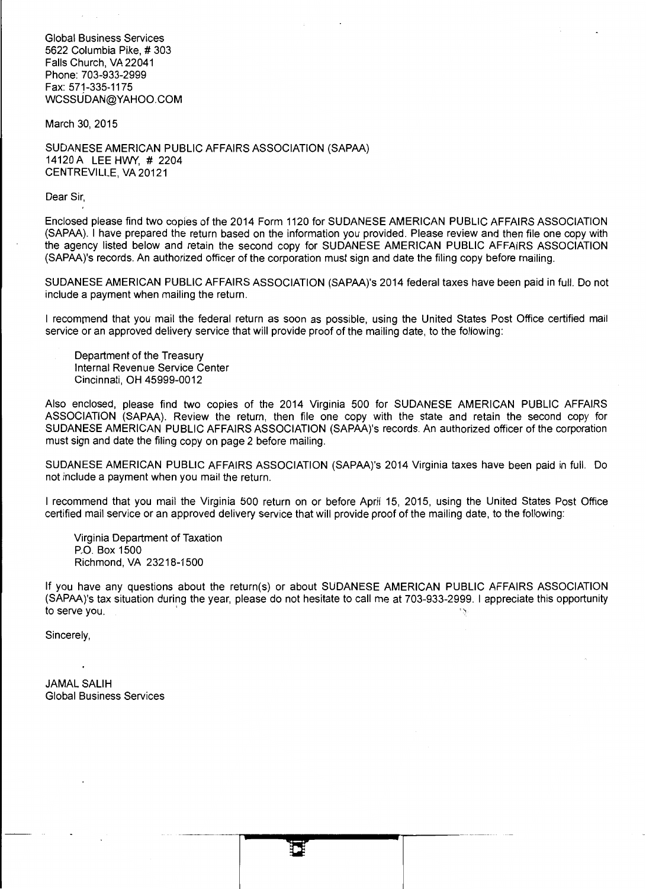Global Business Services 5622 Columbia Pike, # 303 Falls Church, VA 22041 Phone: 703-933-2999 Fax: 571-335-1175 WCSSUDAN@YAHOO.COM

March 30, 2015

SUDANESE AMERICAN PUBLIC AFFAIRS ASSOCIATION (SAPAA) 14120 A **LEE** HWY, # 2204 CENTREVILLE, VA20121

Dear Sir,

Enclosed please find two copies of the 2014 Form 1120 for SUDANESE AMERICAN PUBLIC AFFAIRS ASSOCIATION (SAPAA). I have prepared the return based on the information you provided. Please review and then file one copy with the agency listed below and retain the second copy for SUDANESE AMERICAN PUBLIC AFFAIRS ASSOCIATION (SAPAA)'s records. An authorized officer of the corporation must sign and date the filing copy before mailing.

SUDANESE AMERICAN PUBLIC AFFAIRS ASSOCIATION (SAPAA)'s 2014 federal taxes have been paid in full. Do not include a payment when mailing the return.

I recommend that you mail the federal return as soon as possible, using the United States Post Office certified mail service or an approved delivery service that will provide proof of the mailing date, to the following:

Department of the Treasury Internal Revenue Service Center Cincinnati, OH 45999-0012

Also enclosed, please find two copies of the 2014 Virginia 500 for SUDANESE AMERICAN PUBLIC AFFAIRS ASSOCIATION (SAPAA). Review the return, then file one copy with the state and retain the second copy for SUDANESE AMERICAN PUBLIC AFFAIRS ASSOCIATION (SAPAA)'s records. An authorized officer of the corporation must sign and date the filing copy on page 2 before mailing.

SUDANESE AMERICAN PUBLIC AFFAIRS ASSOCIATION (SAPAA)'s 2014 Virginia taxes have been paid in full. Do not include a payment when you mail the return.

I recommend that you mail the Virginia 500 return on or before April 15, 2015, using the United States Post Office certified mail service or an approved delivery service that will provide proof of the mailing date, to the following:

Virginia Department of Taxation P.O. Box 1500 Richmond, VA 23218-1500

If you have any questions about the return(s) or about SUDANESE AMERICAN PUBLIC AFFAIRS ASSOCIATION (SAPAA)'s tax situation during the year, please do not hesitate to call me at 703-933-2999. I appreciate this opportunity to serve you.

Sincerely,

JAMAL SALIH Global Business Services

·-··-·~---·a----~---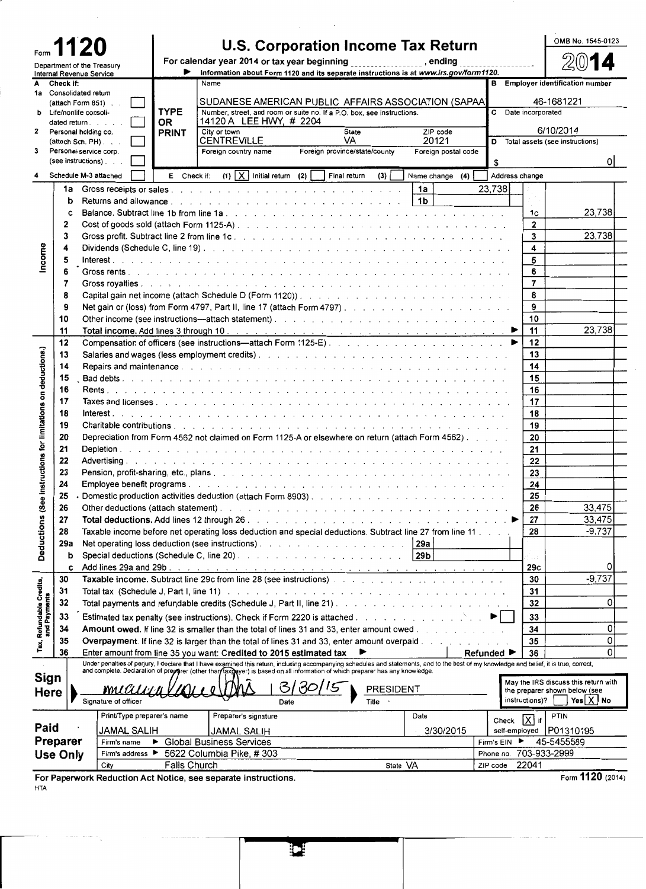|                                                        |          |                                             |                                 |              |                                 |                                                                |                                                                                                                                                                                                                                                                                                                           |                  |                |                              |                         |                     | OMB No. 1545-0123                             |
|--------------------------------------------------------|----------|---------------------------------------------|---------------------------------|--------------|---------------------------------|----------------------------------------------------------------|---------------------------------------------------------------------------------------------------------------------------------------------------------------------------------------------------------------------------------------------------------------------------------------------------------------------------|------------------|----------------|------------------------------|-------------------------|---------------------|-----------------------------------------------|
| <b>1120</b>                                            |          |                                             |                                 |              |                                 | U.S. Corporation Income Tax Return                             |                                                                                                                                                                                                                                                                                                                           |                  |                |                              |                         |                     |                                               |
| Department of the Treasury<br>Internal Revenue Service |          |                                             |                                 | ▶            |                                 |                                                                | For calendar year 2014 or tax year beginning _________________, ending __<br>Information about Form 1120 and its separate instructions is at www.irs.gov/form1120.                                                                                                                                                        |                  |                |                              |                         |                     |                                               |
| A Check if:                                            |          |                                             |                                 |              | Name                            |                                                                |                                                                                                                                                                                                                                                                                                                           |                  |                |                              |                         |                     | <b>B</b> Employer identification number       |
|                                                        |          | 1a Consolidated return                      |                                 |              |                                 |                                                                |                                                                                                                                                                                                                                                                                                                           |                  |                |                              |                         |                     |                                               |
| ь                                                      |          | (attach Form 851)<br>Life/nonlife consoli-  |                                 | <b>TYPE</b>  |                                 |                                                                | SUDANESE AMERICAN PUBLIC AFFAIRS ASSOCIATION (SAPAA)<br>Number, street, and room or suite no. If a P.O. box, see instructions.                                                                                                                                                                                            |                  |                |                              |                         | C Date incorporated | 46-1681221                                    |
|                                                        |          | dated return $\ldots$ $\ldots$              |                                 | 0R           |                                 | 14120 A LEE HWY, # 2204                                        |                                                                                                                                                                                                                                                                                                                           |                  |                |                              |                         |                     |                                               |
| $\mathbf{2}$                                           |          | Personal holding co.                        |                                 | <b>PRINT</b> | City or town                    |                                                                | State                                                                                                                                                                                                                                                                                                                     |                  |                | ZIP code                     |                         |                     | 6/10/2014                                     |
| 3                                                      |          | (attach Sch. PH).<br>Personal service corp. |                                 |              | <b>CENTREVILLE</b>              | Foreign country name                                           | VA.<br>Foreign province/state/county                                                                                                                                                                                                                                                                                      |                  |                | 20121<br>Foreign postal code |                         |                     | D Total assets (see instructions)             |
|                                                        |          | $(see$ instructions $).$                    |                                 |              |                                 |                                                                |                                                                                                                                                                                                                                                                                                                           |                  |                |                              | \$                      |                     | 01                                            |
| 4                                                      |          | Schedule M-3 attached                       |                                 | E Check if:  |                                 | $(1)$ $\mid$ X Initial return (2)                              | Final return                                                                                                                                                                                                                                                                                                              | (3)              |                | Name change (4)              |                         | Address change      |                                               |
|                                                        |          |                                             |                                 |              |                                 |                                                                |                                                                                                                                                                                                                                                                                                                           |                  | 1a             |                              | 23,738                  |                     |                                               |
|                                                        | b        |                                             |                                 |              |                                 |                                                                |                                                                                                                                                                                                                                                                                                                           |                  | 1 <sub>b</sub> |                              |                         |                     |                                               |
|                                                        | c        |                                             |                                 |              |                                 |                                                                |                                                                                                                                                                                                                                                                                                                           |                  |                |                              |                         | 1c                  | 23,738                                        |
|                                                        | 2        |                                             |                                 |              |                                 |                                                                | Cost of goods sold (attach Form 1125-A). The contract of the cost of goods sold (attach Form 1125-A). The contract of the cost of the cost of the cost of the cost of the cost of the cost of the cost of the cost of the cost                                                                                            |                  |                |                              |                         | $\overline{2}$      |                                               |
|                                                        | 3        |                                             |                                 |              |                                 |                                                                |                                                                                                                                                                                                                                                                                                                           |                  |                |                              |                         | 3                   | 23,738                                        |
|                                                        | 4        |                                             |                                 |              |                                 |                                                                |                                                                                                                                                                                                                                                                                                                           |                  |                |                              |                         | 4                   |                                               |
| ncome                                                  | 5        |                                             |                                 |              |                                 |                                                                |                                                                                                                                                                                                                                                                                                                           |                  |                |                              |                         | 5                   |                                               |
|                                                        | 6        |                                             |                                 |              |                                 |                                                                |                                                                                                                                                                                                                                                                                                                           |                  |                |                              |                         | 6                   |                                               |
|                                                        | 7        |                                             |                                 |              |                                 |                                                                |                                                                                                                                                                                                                                                                                                                           |                  |                |                              |                         | $\overline{7}$      |                                               |
|                                                        | 8        |                                             |                                 |              |                                 |                                                                |                                                                                                                                                                                                                                                                                                                           |                  |                |                              |                         | 8                   |                                               |
|                                                        | 9        |                                             |                                 |              |                                 |                                                                |                                                                                                                                                                                                                                                                                                                           |                  |                |                              |                         | 9<br>10             |                                               |
|                                                        | 10<br>11 |                                             |                                 |              |                                 |                                                                |                                                                                                                                                                                                                                                                                                                           |                  |                |                              |                         | 11                  | 23,738                                        |
|                                                        | 12       |                                             |                                 |              |                                 |                                                                | Compensation of officers (see instructions—attach Form 1125-E).                                                                                                                                                                                                                                                           |                  |                |                              | ▶                       | 12                  |                                               |
|                                                        | 13       |                                             |                                 |              |                                 |                                                                |                                                                                                                                                                                                                                                                                                                           |                  |                |                              |                         | 13                  |                                               |
| instructions for limitations on deductions.)           | 14       |                                             |                                 |              |                                 |                                                                |                                                                                                                                                                                                                                                                                                                           |                  |                |                              |                         | 14                  |                                               |
|                                                        | 15       |                                             |                                 |              |                                 |                                                                |                                                                                                                                                                                                                                                                                                                           |                  |                |                              |                         | 15                  |                                               |
|                                                        | 16       |                                             |                                 |              |                                 |                                                                |                                                                                                                                                                                                                                                                                                                           |                  |                |                              |                         | 16                  |                                               |
|                                                        | 17       |                                             |                                 |              |                                 |                                                                |                                                                                                                                                                                                                                                                                                                           |                  |                |                              |                         | 17                  |                                               |
|                                                        | 18       |                                             |                                 |              |                                 |                                                                |                                                                                                                                                                                                                                                                                                                           |                  |                |                              |                         | 18                  |                                               |
|                                                        | 19       |                                             |                                 |              |                                 |                                                                |                                                                                                                                                                                                                                                                                                                           |                  |                |                              |                         | 19                  |                                               |
|                                                        | 20       |                                             |                                 |              |                                 |                                                                | Depreciation from Form 4562 not claimed on Form 1125-A or elsewhere on return (attach Form 4562)                                                                                                                                                                                                                          |                  |                |                              |                         | 20                  |                                               |
|                                                        | 21       |                                             |                                 |              |                                 |                                                                |                                                                                                                                                                                                                                                                                                                           |                  |                |                              |                         | 21                  |                                               |
|                                                        | 22       |                                             |                                 |              |                                 |                                                                |                                                                                                                                                                                                                                                                                                                           |                  |                |                              |                         | 22                  |                                               |
|                                                        | 23       |                                             |                                 |              |                                 |                                                                |                                                                                                                                                                                                                                                                                                                           |                  |                |                              |                         | 23<br>24            |                                               |
|                                                        | 24<br>25 |                                             |                                 |              |                                 |                                                                | Domestic production activities deduction (attach Form 8903)                                                                                                                                                                                                                                                               |                  |                |                              |                         | 25                  |                                               |
|                                                        | 26       |                                             |                                 |              |                                 |                                                                |                                                                                                                                                                                                                                                                                                                           |                  |                |                              |                         | 26                  | 33,475                                        |
|                                                        | 27       |                                             |                                 |              |                                 |                                                                |                                                                                                                                                                                                                                                                                                                           |                  |                |                              |                         | 27                  | 33,475                                        |
| Deductions (See                                        | 28       |                                             |                                 |              |                                 |                                                                | Taxable income before net operating loss deduction and special deductions. Subtract line 27 from line 11                                                                                                                                                                                                                  |                  |                |                              |                         | 28                  | $-9,737$                                      |
|                                                        | 29a      |                                             |                                 |              |                                 |                                                                | Net operating loss deduction (see instructions). 29a                                                                                                                                                                                                                                                                      |                  |                |                              |                         |                     |                                               |
|                                                        |          | b                                           |                                 |              |                                 |                                                                |                                                                                                                                                                                                                                                                                                                           |                  | 29b            |                              |                         |                     |                                               |
|                                                        |          | c                                           |                                 |              |                                 |                                                                |                                                                                                                                                                                                                                                                                                                           |                  |                |                              |                         | 29c                 | 0                                             |
|                                                        | 30       |                                             |                                 |              |                                 |                                                                |                                                                                                                                                                                                                                                                                                                           |                  |                |                              |                         | 30                  | $-9,737$                                      |
| Tax, Refundable Credits,<br>and Payments               | 31       |                                             |                                 |              |                                 |                                                                |                                                                                                                                                                                                                                                                                                                           |                  |                |                              |                         | 31                  |                                               |
|                                                        | 32       |                                             |                                 |              |                                 |                                                                |                                                                                                                                                                                                                                                                                                                           |                  |                |                              |                         | 32                  | 0                                             |
|                                                        | 33       |                                             |                                 |              |                                 |                                                                |                                                                                                                                                                                                                                                                                                                           |                  |                |                              |                         | 33                  |                                               |
|                                                        | 34       |                                             |                                 |              |                                 |                                                                | Amount owed. If line 32 is smaller than the total of lines 31 and 33, enter amount owed                                                                                                                                                                                                                                   |                  |                |                              |                         | 34                  | 0                                             |
|                                                        | 35       |                                             |                                 |              |                                 |                                                                | <b>Overpayment.</b> If line 32 is larger than the total of lines 31 and 33, enter amount overpaid                                                                                                                                                                                                                         |                  |                |                              |                         | 35                  | 0                                             |
|                                                        | 36       |                                             |                                 |              |                                 |                                                                | Enter amount from line 35 you want: Credited to 2015 estimated tax                                                                                                                                                                                                                                                        |                  |                |                              | Refunded ▶              | 36                  | 0                                             |
|                                                        |          |                                             |                                 |              |                                 |                                                                | Under penalties of perjury, I declare that I have examined this return, including accompanying schedules and statements, and to the best of my knowledge and belief, it is true, correct,<br>and complete. Declaration of preparer (other than faxpeyer) is based on all information of which preparer has any knowledge. |                  |                |                              |                         |                     |                                               |
| Sign                                                   |          |                                             |                                 |              |                                 |                                                                |                                                                                                                                                                                                                                                                                                                           |                  |                |                              |                         |                     | May the IRS discuss this return with          |
| <b>Here</b>                                            |          |                                             |                                 |              |                                 |                                                                |                                                                                                                                                                                                                                                                                                                           | <b>PRESIDENT</b> |                |                              |                         | instructions)?      | the preparer shown below (see<br>Yes $X$   No |
|                                                        |          |                                             | Signature of officer            |              |                                 | Date                                                           |                                                                                                                                                                                                                                                                                                                           | Title            |                |                              |                         |                     |                                               |
|                                                        |          |                                             | Print/Type preparer's name      |              |                                 | Preparer's signature                                           |                                                                                                                                                                                                                                                                                                                           |                  | Date           |                              | Check                   | $[X]$ if            | PTIN                                          |
| Paid                                                   |          |                                             | <b>JAMAL SALIH</b>              |              |                                 | <b>JAMAL SALIH</b>                                             |                                                                                                                                                                                                                                                                                                                           |                  |                | 3/30/2015                    |                         |                     | self-employed   P01310195                     |
| <b>Preparer</b>                                        |          |                                             | Firm's name<br>Firm's address ▶ | ▶            | <b>Global Business Services</b> |                                                                |                                                                                                                                                                                                                                                                                                                           |                  |                |                              | Firm's EIN<br>Phone no. | ▸<br>703-933-2999   | 45-5455589                                    |
| Use Only                                               |          |                                             | City                            | Falls Church |                                 | 5622 Columbia Pike, #303                                       |                                                                                                                                                                                                                                                                                                                           | State VA         |                |                              | ZIP code                | 22041               |                                               |
|                                                        |          |                                             |                                 |              |                                 | For Paperwork Reduction Act Notice, see separate instructions. |                                                                                                                                                                                                                                                                                                                           |                  |                |                              |                         |                     | Form 1120 (2014)                              |

H

For Paperwork Reduction Act Notice, see separate instructions. HTA

Form 1120 (2014)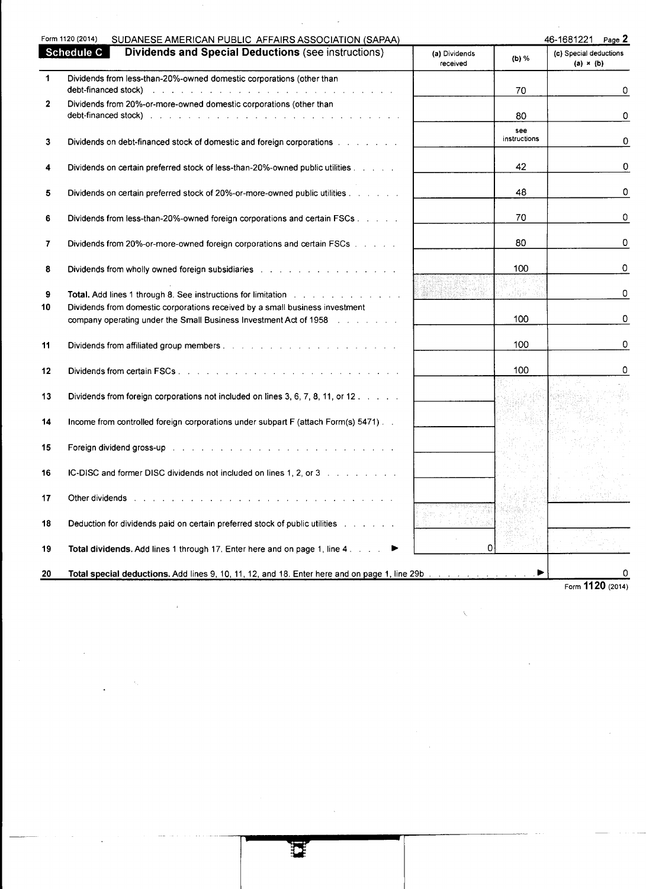|              | Form 1120 (2014)<br>SUDANESE AMERICAN PUBLIC AFFAIRS ASSOCIATION (SAPAA)                                                                                                                                                                                                                             |                           |              | 46-1681221<br>Page Z                       |
|--------------|------------------------------------------------------------------------------------------------------------------------------------------------------------------------------------------------------------------------------------------------------------------------------------------------------|---------------------------|--------------|--------------------------------------------|
|              | <b>Dividends and Special Deductions (see instructions)</b><br><b>Schedule C</b>                                                                                                                                                                                                                      | (a) Dividends<br>received | (b) %        | (c) Special deductions<br>$(a) \times (b)$ |
| $\mathbf 1$  | Dividends from less-than-20%-owned domestic corporations (other than                                                                                                                                                                                                                                 |                           |              |                                            |
|              | debt-financed stock)                                                                                                                                                                                                                                                                                 |                           | 70           | 0                                          |
| $\mathbf{2}$ | Dividends from 20%-or-more-owned domestic corporations (other than<br>debt-financed stock) when the contract the contract of the contract of the contract of the contract of the contract of the contract of the contract of the contract of the contract of the contract of the contract of the con |                           | 80           | 0                                          |
|              |                                                                                                                                                                                                                                                                                                      |                           | see          |                                            |
| 3            | Dividends on debt-financed stock of domestic and foreign corporations enterstanding to the state of Dividends D                                                                                                                                                                                      |                           | instructions | 0                                          |
| 4            | Dividends on certain preferred stock of less-than-20%-owned public utilities and all contains the Dividends Di                                                                                                                                                                                       |                           | 42           | 0                                          |
| 5            |                                                                                                                                                                                                                                                                                                      |                           | 48           | 0                                          |
|              | Dividends on certain preferred stock of 20%-or-more-owned public utilities                                                                                                                                                                                                                           |                           |              |                                            |
| 6            | Dividends from less-than-20%-owned foreign corporations and certain FSCs                                                                                                                                                                                                                             |                           | 70           | 0                                          |
| 7            | Dividends from 20%-or-more-owned foreign corporations and certain FSCs                                                                                                                                                                                                                               |                           | 80           | 0                                          |
|              |                                                                                                                                                                                                                                                                                                      |                           |              |                                            |
| 8            | Dividends from wholly owned foreign subsidiaries and an analyzing and an analyzing problem who has been alleged.                                                                                                                                                                                     |                           | 100          | 0                                          |
| 9            | Total. Add lines 1 through 8. See instructions for limitation with a substitution of the set of the set of the                                                                                                                                                                                       |                           |              | 0                                          |
| 10           | Dividends from domestic corporations received by a small business investment                                                                                                                                                                                                                         |                           |              |                                            |
|              | company operating under the Small Business Investment Act of 1958 [1958] [1959] Company operating under the Small Business Investment Act of 1958                                                                                                                                                    |                           | 100          | 0                                          |
| 11           | Dividends from affiliated group members. The annual contract the contract of the contract of                                                                                                                                                                                                         |                           | 100          | 0                                          |
| 12           |                                                                                                                                                                                                                                                                                                      |                           | 100          | 0                                          |
|              |                                                                                                                                                                                                                                                                                                      |                           |              |                                            |
| 13           | Dividends from foreign corporations not included on lines 3, 6, 7, 8, 11, or 12.                                                                                                                                                                                                                     |                           |              |                                            |
| 14           | Income from controlled foreign corporations under subpart F (attach Form(s) 5471).                                                                                                                                                                                                                   |                           |              |                                            |
| 15           | Foreign dividend gross-up to the contract of the contract of the contract of the contract of the contract of the contract of the contract of the contract of the contract of the contract of the contract of the contract of t                                                                       |                           |              |                                            |
|              |                                                                                                                                                                                                                                                                                                      |                           |              |                                            |
| 16           | IC-DISC and former DISC dividends not included on lines 1, 2, or 3 and a contact that the U.S.                                                                                                                                                                                                       |                           |              |                                            |
| 17           | Other dividends research research in the state of the contract of the contract of the contract of the contract of the contract of the contract of the contract of the contract of the contract of the contract of the contract                                                                       |                           |              |                                            |
|              |                                                                                                                                                                                                                                                                                                      |                           |              |                                            |
| 18           | Deduction for dividends paid on certain preferred stock of public utilities and all contacts of public utilities                                                                                                                                                                                     |                           |              |                                            |
| 19           | Total dividends. Add lines 1 through 17. Enter here and on page 1, line 4. All and                                                                                                                                                                                                                   | 0                         |              |                                            |
| 20           | Total special deductions. Add lines 9, 10, 11, 12, and 18. Enter here and on page 1, line 29b and a subscription of the state of the state of the State of the State of the State of the State of the State of the State of th                                                                       |                           | ▶            | 0                                          |

 $\label{eq:2} \frac{1}{\sqrt{2\pi}}\left(\frac{1}{\sqrt{2\pi}}\right)^{1/2}\left(\frac{1}{\sqrt{2\pi}}\right)^{1/2}\left(\frac{1}{\sqrt{2\pi}}\right)^{1/2}.$ 

 $\mathcal{L}^{\text{max}}_{\text{max}}$  and  $\mathcal{L}^{\text{max}}_{\text{max}}$ 

 $\frac{1}{2}$ 

 $\label{eq:2} \frac{1}{\sqrt{2}}\left(\frac{1}{\sqrt{2}}\right)^{2} \left(\frac{1}{\sqrt{2}}\right)^{2}$ 

 $\label{eq:2.1} \frac{1}{\sqrt{2}}\sum_{i=1}^n\frac{1}{\sqrt{2}}\sum_{i=1}^n\frac{1}{\sqrt{2}}\sum_{i=1}^n\frac{1}{\sqrt{2}}\sum_{i=1}^n\frac{1}{\sqrt{2}}\sum_{i=1}^n\frac{1}{\sqrt{2}}\sum_{i=1}^n\frac{1}{\sqrt{2}}\sum_{i=1}^n\frac{1}{\sqrt{2}}\sum_{i=1}^n\frac{1}{\sqrt{2}}\sum_{i=1}^n\frac{1}{\sqrt{2}}\sum_{i=1}^n\frac{1}{\sqrt{2}}\sum_{i=1}^n\frac$ 

 $\mathcal{L}^{\text{max}}_{\text{max}}$  and  $\mathcal{L}^{\text{max}}_{\text{max}}$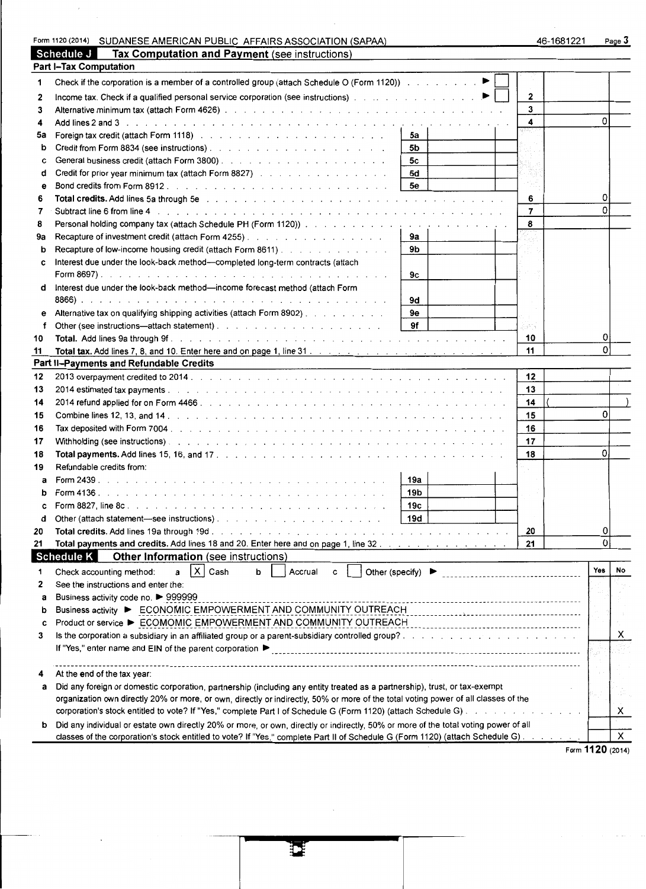|          | Form 1120 (2014) SUDANESE AMERICAN PUBLIC AFFAIRS ASSOCIATION (SAPAA)                                                                                                                                                          |            | 46-1681221       |          | Page 3    |
|----------|--------------------------------------------------------------------------------------------------------------------------------------------------------------------------------------------------------------------------------|------------|------------------|----------|-----------|
|          | Schedule J<br>Tax Computation and Payment (see instructions)                                                                                                                                                                   |            |                  |          |           |
|          | <b>Part I-Tax Computation</b>                                                                                                                                                                                                  |            |                  |          |           |
| 1        | Check if the corporation is a member of a controlled group (attach Schedule O (Form 1120)) ▶                                                                                                                                   |            |                  |          |           |
| 2        |                                                                                                                                                                                                                                |            | $\mathbf{2}$     |          |           |
| 3        |                                                                                                                                                                                                                                |            | 3                |          |           |
| 4        |                                                                                                                                                                                                                                |            | 4                | 0        |           |
| 5a       | Foreign tax credit (attach Form 1118) And All Albert Albert Albert Albert Albert Albert Albert Albert Albert Albert Albert Albert Albert Albert Albert Albert Albert Albert Albert Albert Albert Albert Albert Albert Albert A | 5а         |                  |          |           |
| b        | Credit from Form 8834 (see instructions). The contract of the contract of the contract of the contract of the contract of the contract of the contract of the contract of the contract of the contract of the contract of the  | 5b         |                  |          |           |
| C        |                                                                                                                                                                                                                                | 5c         |                  |          |           |
| d        | Credit for prior year minimum tax (attach Form 8827)                                                                                                                                                                           | 5d         |                  |          |           |
| е        |                                                                                                                                                                                                                                | 5e         |                  |          |           |
| 6        |                                                                                                                                                                                                                                |            | 6                | 0        |           |
| 7        | Subtract line 6 from line 4 (edge) and a contract of the contract of the contract line 6 from line 4 (edge) and a contract of the contract of the contract of the contract of the contract of the contract of the contract of  |            | $\overline{7}$   | $\Omega$ |           |
| 8        |                                                                                                                                                                                                                                |            | 8                |          |           |
| 9a       |                                                                                                                                                                                                                                | 9а         |                  |          |           |
| b        | Recapture of low-income housing credit (attach Form 8611)                                                                                                                                                                      | 9b         |                  |          |           |
| C        | Interest due under the look-back method-completed long-term contracts (attach                                                                                                                                                  |            |                  |          |           |
|          |                                                                                                                                                                                                                                | 9с         |                  |          |           |
| d        | Interest due under the look-back method-income forecast method (attach Form                                                                                                                                                    |            |                  |          |           |
|          |                                                                                                                                                                                                                                | 9d         |                  |          |           |
|          | Alternative tax on qualifying shipping activities (attach Form 8902)                                                                                                                                                           | 9e         |                  |          |           |
| f        | Other (see instructions—attach statement).                                                                                                                                                                                     | 9f         | kan l            |          |           |
| 10       |                                                                                                                                                                                                                                |            | 10               |          |           |
| 11       | Total tax. Add lines 7, 8, and 10. Enter here and on page 1, line 31. $\ldots$ , $\ldots$ , $\ldots$ , $\ldots$ , $\ldots$ , $\ldots$ , $\ldots$ , $\ldots$                                                                    |            | 11               | $\Omega$ |           |
|          | Part II-Payments and Refundable Credits                                                                                                                                                                                        |            |                  |          |           |
| 12       | <u> 1980 - Jan Samuel II, maritan a shekara tsa na shekara tsa na shekara tsa na shekara tsa na shekara tsa na sh</u>                                                                                                          |            | 12               |          |           |
| 13       |                                                                                                                                                                                                                                |            | 13               |          |           |
| 14       |                                                                                                                                                                                                                                |            | 14               |          |           |
| 15       |                                                                                                                                                                                                                                |            | 15               | 0        |           |
|          |                                                                                                                                                                                                                                |            | 16               |          |           |
| 16<br>17 |                                                                                                                                                                                                                                |            | 17               |          |           |
|          |                                                                                                                                                                                                                                |            | 18               | $\Omega$ |           |
| 18       |                                                                                                                                                                                                                                |            |                  |          |           |
| 19       | Refundable credits from:                                                                                                                                                                                                       | 19a        |                  |          |           |
| a        |                                                                                                                                                                                                                                |            |                  |          |           |
| b        |                                                                                                                                                                                                                                | 19b<br>19c |                  |          |           |
| C        | Form $8827$ , line $8c$                                                                                                                                                                                                        |            |                  |          |           |
| d        |                                                                                                                                                                                                                                | 19d        |                  | 0        |           |
| 20       | Total payments and credits. Add lines 18 and 20. Enter here and on page 1, line 32.                                                                                                                                            |            | 20               | 0        |           |
| 21       |                                                                                                                                                                                                                                |            | 21               |          |           |
|          | <b>Schedule K</b><br>Other Information (see instructions)                                                                                                                                                                      |            |                  |          | <b>No</b> |
|          | IX.<br>Other (specify) $\blacktriangleright$<br>Cash<br>Accrual<br>Check accounting method:<br>a<br>b<br>C                                                                                                                     |            |                  | Yes      |           |
| 2        | See the instructions and enter the:                                                                                                                                                                                            |            |                  |          |           |
| a        | Business activity code no. ▶ 999999                                                                                                                                                                                            |            |                  |          |           |
| b        | Business activity ▶ ECONOMIC EMPOWERMENT AND COMMUNITY OUTREACH                                                                                                                                                                |            |                  |          |           |
| c        | Product or service ▶ ECOMOMIC EMPOWERMENT AND COMMUNITY OUTREACH                                                                                                                                                               |            |                  |          |           |
| 3        |                                                                                                                                                                                                                                |            |                  |          | х         |
|          | If "Yes," enter name and EIN of the parent corporation ▶                                                                                                                                                                       |            |                  |          |           |
|          |                                                                                                                                                                                                                                |            |                  |          |           |
|          | At the end of the tax year:                                                                                                                                                                                                    |            |                  |          |           |
| а        | Did any foreign or domestic corporation, partnership (including any entity treated as a partnership), trust, or tax-exempt                                                                                                     |            |                  |          |           |
|          | organization own directly 20% or more, or own, directly or indirectly, 50% or more of the total voting power of all classes of the                                                                                             |            |                  |          |           |
|          |                                                                                                                                                                                                                                |            |                  |          | x         |
| b        | Did any individual or estate own directly 20% or more, or own, directly or indirectly, 50% or more of the total voting power of all                                                                                            |            |                  |          |           |
|          | classes of the corporation's stock entitled to vote? If "Yes," complete Part II of Schedule G (Form 1120) (attach Schedule G)                                                                                                  |            |                  |          | X         |
|          |                                                                                                                                                                                                                                |            | Form 1120 (2014) |          |           |

 $\bar{\epsilon}$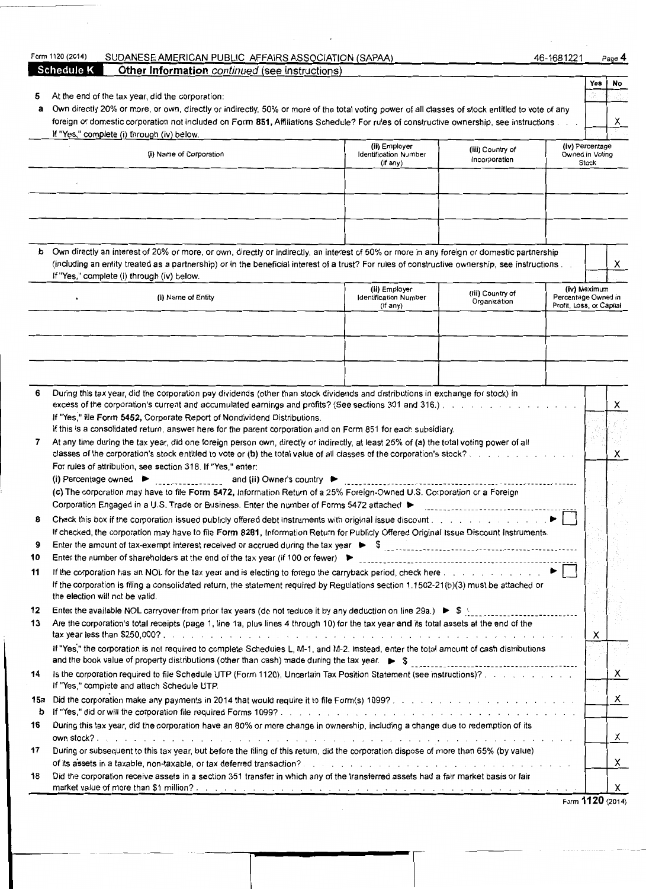|     | <b>Schedule K</b><br><b>Other Information</b> continued (see instructions)                                                                      |                                                           |                                   |                          |                                             |                  |
|-----|-------------------------------------------------------------------------------------------------------------------------------------------------|-----------------------------------------------------------|-----------------------------------|--------------------------|---------------------------------------------|------------------|
|     |                                                                                                                                                 |                                                           |                                   |                          | Yes                                         | No               |
| 5   | At the end of the tax year, did the corporation:                                                                                                |                                                           |                                   |                          |                                             |                  |
| а   | Own directly 20% or more, or own, directly or indirectly, 50% or more of the total voting power of all classes of stock entitled to vote of any |                                                           |                                   |                          |                                             |                  |
|     | foreign or domestic corporation not included on Form 851, Affiliations Schedule? For rules of constructive ownership, see instructions          |                                                           |                                   |                          |                                             | X                |
|     | If "Yes," complete (i) through (iv) below.                                                                                                      |                                                           |                                   |                          |                                             |                  |
|     | (i) Name of Corporation                                                                                                                         | (ii) Employer<br><b>Identification Number</b><br>(if any) | (iii) Country of<br>incorporation |                          | (iv) Percentage<br>Owned in Voting<br>Stock |                  |
|     |                                                                                                                                                 |                                                           |                                   |                          |                                             |                  |
|     |                                                                                                                                                 |                                                           |                                   |                          |                                             |                  |
|     |                                                                                                                                                 |                                                           |                                   |                          |                                             |                  |
|     |                                                                                                                                                 |                                                           |                                   |                          |                                             |                  |
|     |                                                                                                                                                 |                                                           |                                   |                          |                                             |                  |
|     |                                                                                                                                                 |                                                           |                                   |                          |                                             |                  |
|     | b Own directly an interest of 20% or more, or own, directly or indirectly, an interest of 50% or more in any foreign or domestic partnership    |                                                           |                                   |                          |                                             |                  |
|     | (including an entity treated as a partnership) or in the beneficial interest of a trust? For rules of constructive ownership, see instructions  |                                                           |                                   |                          |                                             | X                |
|     | If "Yes," complete (i) through (iv) below.                                                                                                      |                                                           |                                   |                          |                                             |                  |
|     | (i) Name of Entity                                                                                                                              | (ii) Employer<br>Identification Number                    | (iii) Country of                  | Percentage Owned in      | (iv) Maximum                                |                  |
|     |                                                                                                                                                 | (if any)                                                  | Organization                      | Profit, Loss, or Capital |                                             |                  |
|     |                                                                                                                                                 |                                                           |                                   |                          |                                             |                  |
|     |                                                                                                                                                 |                                                           |                                   |                          |                                             |                  |
|     |                                                                                                                                                 |                                                           |                                   |                          |                                             |                  |
|     |                                                                                                                                                 |                                                           |                                   |                          |                                             |                  |
|     |                                                                                                                                                 |                                                           |                                   |                          |                                             |                  |
| 6   | During this tax year, did the corporation pay dividends (other than stock dividends and distributions in exchange for stock) in                 |                                                           |                                   |                          |                                             |                  |
|     |                                                                                                                                                 |                                                           |                                   |                          |                                             | x                |
|     | If "Yes," file Form 5452, Corporate Report of Nondividend Distributions.                                                                        |                                                           |                                   |                          |                                             |                  |
|     | If this is a consolidated return, answer here for the parent corporation and on Form 851 for each subsidiary.                                   |                                                           |                                   |                          |                                             |                  |
| 7   | At any time during the tax year, did one foreign person own, directly or indirectly, at least 25% of (a) the total voting power of all          |                                                           |                                   |                          |                                             |                  |
|     | classes of the corporation's stock entitled to vote or (b) the total value of all classes of the corporation's stock?                           |                                                           |                                   |                          |                                             | Х                |
|     | For rules of attribution, see section 318. If "Yes," enter:                                                                                     |                                                           |                                   |                          |                                             |                  |
|     |                                                                                                                                                 |                                                           |                                   |                          |                                             |                  |
|     | (c) The corporation may have to file Form 5472, Information Return of a 25% Foreign-Owned U.S. Corporation or a Foreign                         |                                                           |                                   |                          |                                             |                  |
|     | Corporation Engaged in a U.S. Trade or Business. Enter the number of Forms 5472 attached ▶                                                      |                                                           |                                   |                          |                                             |                  |
| 8   | Check this box if the corporation issued publicly offered debt instruments with original issue discount                                         |                                                           |                                   |                          |                                             |                  |
|     | If checked, the corporation may have to file Form 8281, Information Return for Publicly Offered Original Issue Discount Instruments.            |                                                           |                                   |                          |                                             |                  |
| 9   |                                                                                                                                                 |                                                           |                                   |                          |                                             |                  |
| 10  | Enter the number of shareholders at the end of the tax year (if 100 or fewer) $\blacktriangleright$                                             |                                                           |                                   |                          |                                             |                  |
| 11  | If the corporation has an NOL for the tax year and is electing to forego the carryback period, check here $\ldots$ , $\ldots$ , $\ldots$        |                                                           |                                   |                          |                                             |                  |
|     | If the corporation is filing a consolidated return, the statement required by Regulations section 1.1502-21(b)(3) must be attached or           |                                                           |                                   |                          |                                             |                  |
|     | the election will not be valid.                                                                                                                 |                                                           |                                   |                          |                                             |                  |
| 12  | Enter the available NOL carryover from prior tax years (do not reduce it by any deduction on line 29a.) > \$ \$                                 |                                                           |                                   |                          |                                             |                  |
| 13  | Are the corporation's total receipts (page 1, line 1a, plus lines 4 through 10) for the tax year and its total assets at the end of the         |                                                           |                                   |                          |                                             |                  |
|     |                                                                                                                                                 |                                                           |                                   |                          | х                                           |                  |
|     | If "Yes," the corporation is not required to complete Schedules L, M-1, and M-2. Instead, enter the total amount of cash distributions          |                                                           |                                   |                          |                                             |                  |
| 14  | Is the corporation required to file Schedule UTP (Form 1120), Uncertain Tax Position Statement (see instructions)?                              |                                                           |                                   |                          |                                             | X                |
|     | If "Yes," complete and attach Schedule UTP.                                                                                                     |                                                           |                                   |                          |                                             |                  |
| 15a |                                                                                                                                                 |                                                           |                                   |                          |                                             | X                |
| b   |                                                                                                                                                 |                                                           |                                   |                          |                                             |                  |
| 16  | During this tax year, did the corporation have an 80% or more change in ownership, including a change due to redemption of its                  |                                                           |                                   |                          |                                             |                  |
|     |                                                                                                                                                 |                                                           |                                   |                          |                                             | X                |
| 17  | During or subsequent to this tax year, but before the filing of this return, did the corporation dispose of more than 65% (by value)            |                                                           |                                   |                          |                                             |                  |
|     |                                                                                                                                                 |                                                           |                                   |                          |                                             | X                |
| 18  | Did the corporation receive assets in a section 351 transfer in which any of the transferred assets had a fair market basis or fair             |                                                           |                                   |                          |                                             |                  |
|     |                                                                                                                                                 |                                                           |                                   |                          |                                             | X                |
|     |                                                                                                                                                 |                                                           |                                   |                          |                                             | Form 1120 (2014) |

Form **1120** (2014)

#### 014) SUDANESE AMERICAN PUBLIC AFFAIRS ASSOCIATION (SAPAA) 46-1681221 Page 4

| Form 1120 (20 |  |
|---------------|--|
|               |  |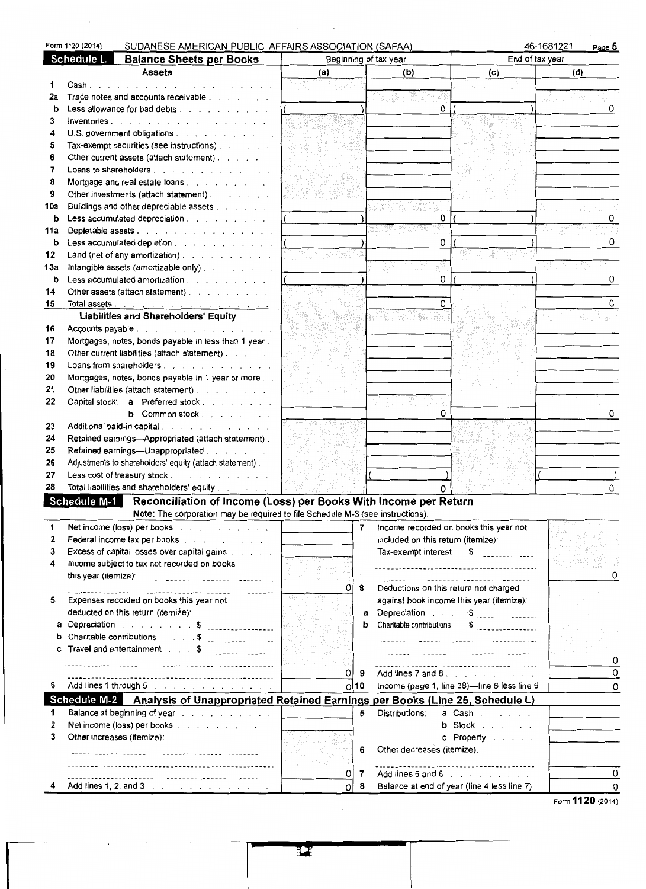|         | Form 1120 (2014)           | SUDANESE AMERICAN PUBLIC AFFAIRS ASSOCIATION (SAPAA)                                                                                                                                                                              |               |                                    |                                                                                                          | 46-1681221<br>Page 5 |
|---------|----------------------------|-----------------------------------------------------------------------------------------------------------------------------------------------------------------------------------------------------------------------------------|---------------|------------------------------------|----------------------------------------------------------------------------------------------------------|----------------------|
|         | <b>Schedule L</b>          | <b>Balance Sheets per Books</b>                                                                                                                                                                                                   |               | Beginning of tax year              | End of tax year                                                                                          |                      |
|         |                            | <b>Assets</b>                                                                                                                                                                                                                     | (a)           | (b)                                | (c)                                                                                                      | (d)                  |
| 1       | Cash                       | .                                                                                                                                                                                                                                 |               |                                    |                                                                                                          |                      |
| 2a      |                            | Trade notes and accounts receivable                                                                                                                                                                                               |               |                                    |                                                                                                          |                      |
| b       |                            | Less allowance for bad debts                                                                                                                                                                                                      |               |                                    | 0                                                                                                        | 0                    |
| 3       |                            | Inventories.                                                                                                                                                                                                                      |               |                                    |                                                                                                          |                      |
| 4       |                            | U.S. government obligations                                                                                                                                                                                                       |               |                                    |                                                                                                          |                      |
| 5       |                            | Tax-exempt securities (see instructions).                                                                                                                                                                                         |               |                                    |                                                                                                          |                      |
| 6       |                            | Other current assets (attach statement)                                                                                                                                                                                           |               |                                    |                                                                                                          |                      |
| 7       |                            | Loans to shareholders                                                                                                                                                                                                             |               |                                    |                                                                                                          |                      |
| 8       |                            | Mortgage and real estate loans.                                                                                                                                                                                                   |               |                                    |                                                                                                          |                      |
| 9       |                            | Other investments (attach statement)                                                                                                                                                                                              |               |                                    |                                                                                                          |                      |
| 10a     |                            | Buildings and other depreciable assets                                                                                                                                                                                            |               | S Sa<br>reference                  |                                                                                                          |                      |
| b       |                            | Less accumulated depreciation                                                                                                                                                                                                     |               |                                    | 0                                                                                                        | 0                    |
| 11a     |                            | Depletable assets                                                                                                                                                                                                                 |               |                                    |                                                                                                          |                      |
| b       |                            | Less accumulated depletion                                                                                                                                                                                                        |               |                                    | 0                                                                                                        | 0                    |
| 12      |                            | Land (net of any amortization)                                                                                                                                                                                                    | 1 Martin Cale |                                    |                                                                                                          |                      |
| 13а     |                            | Intangible assets (amortizable only)<br>Less accumulated amortization                                                                                                                                                             |               |                                    | 0                                                                                                        | 0                    |
| b<br>14 |                            |                                                                                                                                                                                                                                   |               |                                    |                                                                                                          |                      |
| 15      |                            | Other assets (attach statement)                                                                                                                                                                                                   |               |                                    | Ω                                                                                                        | 0                    |
|         |                            | Liabilities and Shareholders' Equity                                                                                                                                                                                              |               |                                    |                                                                                                          |                      |
| 16      |                            | Accounts payable                                                                                                                                                                                                                  |               | wing #2,91%, with                  |                                                                                                          |                      |
| 17      |                            | Mortgages, notes, bonds payable in less than 1 year.                                                                                                                                                                              |               |                                    |                                                                                                          |                      |
| 18      |                            | Other current liabilities (attach statement)                                                                                                                                                                                      |               |                                    |                                                                                                          |                      |
| 19      |                            | Loans from shareholders                                                                                                                                                                                                           |               |                                    |                                                                                                          |                      |
| 20      |                            | Mortgages, notes, bonds payable in 1 year or more                                                                                                                                                                                 |               |                                    |                                                                                                          |                      |
| 21      |                            | Other liabilities (attach statement)                                                                                                                                                                                              |               |                                    |                                                                                                          |                      |
| 22      |                            | Capital stock: a Preferred stock                                                                                                                                                                                                  |               |                                    |                                                                                                          |                      |
|         |                            | b Common stock                                                                                                                                                                                                                    |               |                                    | Ω                                                                                                        | 0                    |
| 23      |                            | Additional paid-in capital.                                                                                                                                                                                                       |               |                                    |                                                                                                          |                      |
| 24      |                            | Retained earnings-Appropriated (attach statement).                                                                                                                                                                                |               |                                    |                                                                                                          |                      |
| 25      |                            | Refained earnings-Unappropriated                                                                                                                                                                                                  |               |                                    |                                                                                                          |                      |
| 26      |                            | Adjustments to shareholders' equity (attach statement)                                                                                                                                                                            |               |                                    |                                                                                                          |                      |
| 27      |                            | Less cost of treasury stock                                                                                                                                                                                                       |               |                                    |                                                                                                          |                      |
| 28      |                            | Total liabilities and shareholders' equity                                                                                                                                                                                        |               |                                    |                                                                                                          | 0                    |
|         |                            | Schedule M-1 Reconciliation of Income (Loss) per Books With Income per Return                                                                                                                                                     |               |                                    |                                                                                                          |                      |
|         |                            | Note: The corporation may be required to file Schedule M-3 (see instructions).                                                                                                                                                    |               |                                    |                                                                                                          |                      |
|         |                            | Net income (loss) per books response to the contract of the set of the set of the set of the set of the set of the set of the set of the set of the set of the set of the set of the set of the set of the set of the set of t    |               | 7                                  | Income recorded on books this year not                                                                   |                      |
| 2       |                            | Federal income tax per books                                                                                                                                                                                                      |               | included on this return (itemize): |                                                                                                          |                      |
| 3       |                            | Excess of capital losses over capital gains                                                                                                                                                                                       |               | Tax-exempt interest                | \$                                                                                                       |                      |
| 4       |                            | Income subject to tax not recorded on books                                                                                                                                                                                       |               |                                    | ------------------------------------                                                                     |                      |
|         | this year (itemize):       | -------------------------------                                                                                                                                                                                                   |               |                                    |                                                                                                          |                      |
|         |                            |                                                                                                                                                                                                                                   | 0             | 8                                  | Deductions on this return not charged                                                                    |                      |
| 5       |                            | Expenses recorded on books this year not                                                                                                                                                                                          |               |                                    | against book income this year (itemize):                                                                 |                      |
|         |                            | deducted on this return (itemize):                                                                                                                                                                                                |               | a                                  | Depreciation \$                                                                                          |                      |
|         |                            | a Depreciation $\ldots$ $\ldots$ $\ddot{\text{s}}$                                                                                                                                                                                |               | Charitable contributions<br>b      | \$<br>. <u>.</u> .                                                                                       |                      |
| b       |                            | Charitable contributions \$                                                                                                                                                                                                       |               |                                    |                                                                                                          |                      |
| С       |                            | Travel and entertainment \$                                                                                                                                                                                                       |               |                                    |                                                                                                          | 0                    |
|         |                            |                                                                                                                                                                                                                                   | 0             |                                    | -------------------------------------<br>Add lines $7$ and $8$ , $9$ , $1$ , $1$ , $1$ , $1$ , $1$ , $1$ | 0                    |
| 6       |                            | <br>Add lines 1 through 5 and a subset of the set of the set of the set of the set of the set of the set of the set of the set of the set of the set of the set of the set of the set of the set of the set of the set of the set | 10            | 9                                  | Income (page 1, line 28)-line 6 less line 9                                                              |                      |
|         |                            |                                                                                                                                                                                                                                   | ΩI            |                                    |                                                                                                          | 0                    |
| 1       |                            | Schedule M-2 Analysis of Unappropriated Retained Earnings per Books (Line 25, Schedule L)<br>Balance at beginning of year research and a series of the set of the Balance at beginning of year.                                   |               | 5<br>Distributions:                | a Cash                                                                                                   |                      |
| 2       |                            | Net income (loss) per books                                                                                                                                                                                                       |               |                                    | $b$ Stock $\ldots$                                                                                       |                      |
| 3       | Other increases (itemize): |                                                                                                                                                                                                                                   |               |                                    | c Property                                                                                               |                      |
|         |                            |                                                                                                                                                                                                                                   |               | Other decreases (itemize):<br>6    |                                                                                                          |                      |
|         |                            |                                                                                                                                                                                                                                   |               |                                    |                                                                                                          |                      |
|         |                            |                                                                                                                                                                                                                                   | 0             | 7                                  | Add lines 5 and 6                                                                                        | 0                    |
|         |                            |                                                                                                                                                                                                                                   | O             | 8                                  | Balance at end of year (line 4 less line 7)                                                              | 0                    |
|         |                            |                                                                                                                                                                                                                                   |               |                                    |                                                                                                          |                      |

Form **1120** (2014)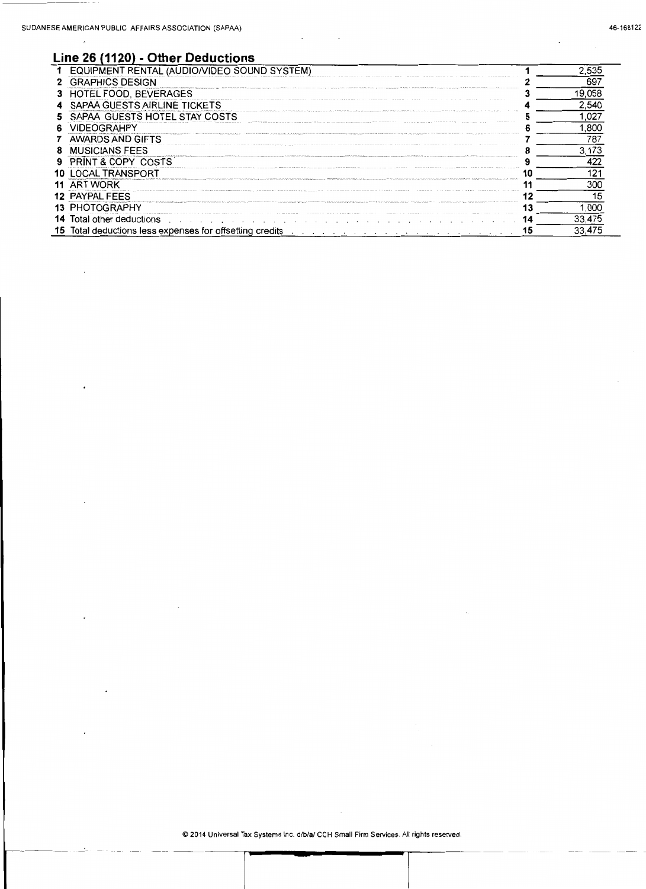$\overline{\phantom{a}}$ 

### **Line 26 (1120)- Other Deductions**

| EQUIPMENT RENTAL (AUDIO/VIDEO SOUND SYSTEM)                     |    | 2,535  |
|-----------------------------------------------------------------|----|--------|
| <b>GRAPHICS DESIGN</b>                                          |    | 697    |
| 3 HOTEL FOOD, BEVERAGES                                         |    | 19,058 |
| SAPAA GUESTS AIRLINE TICKETS                                    |    | 2,540  |
| SAPAA GUESTS HOTEL STAY COSTS                                   |    | 1.027  |
| VIDEOGRAHPY                                                     |    | 1.800  |
| AWARDS AND GIFTS                                                |    | 787    |
| <b>MUSICIANS FEES</b>                                           |    | 3.173  |
| PRINT & COPY COSTS                                              |    | 422    |
| <b>10 LOCAL TRANSPORT</b>                                       |    | 121    |
| 11 ART WORK                                                     |    | 300    |
| 12 PAYPAL FEES                                                  |    | 15     |
| 13 PHOTOGRAPHY                                                  |    | 1,000  |
| <b>14</b> Total other deductions                                | 14 | 33,475 |
| <b>15</b> Total deductions less expenses for offsetting credits | 15 | 33.475 |

 $\sim$ 

 $\overline{\phantom{a}}$ 

© 2014 Universal Tax Systems Inc. d/b/a/ CCH Small Firm Services. All rights reserved.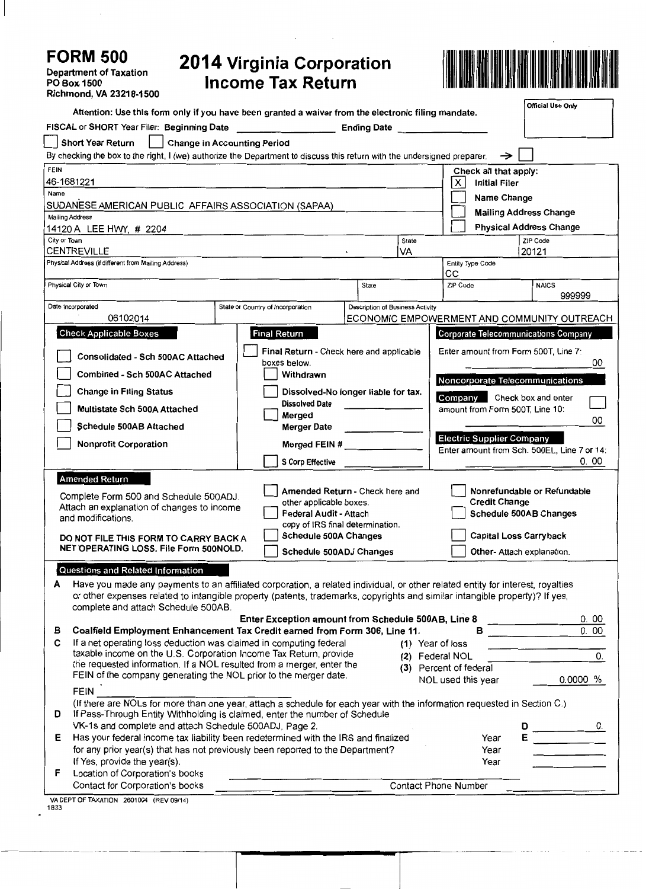# **FORM 500**

 $\overline{\phantom{a}}$ 

Department of Taxation PO Box1500 Richmond, VA 23218-1500

## **2014 Virginia Corporation Income Tax Return**



| Attention: Use this form only if you have been granted a waiver from the electronic filing mandate.                                                                                           |                                                                                                                              |                                                    |                                  |             |                                                |                       | Official Use Only                           |          |
|-----------------------------------------------------------------------------------------------------------------------------------------------------------------------------------------------|------------------------------------------------------------------------------------------------------------------------------|----------------------------------------------------|----------------------------------|-------------|------------------------------------------------|-----------------------|---------------------------------------------|----------|
| FISCAL or SHORT Year Filer: Beginning Date                                                                                                                                                    |                                                                                                                              |                                                    |                                  |             | Ending Date <b>Example 20</b>                  |                       |                                             |          |
| <b>Short Year Return</b>                                                                                                                                                                      | <b>Change in Accounting Period</b>                                                                                           |                                                    |                                  |             |                                                |                       |                                             |          |
|                                                                                                                                                                                               | By checking the box to the right, I (we) authorize the Department to discuss this return with the undersigned preparer.<br>→ |                                                    |                                  |             |                                                |                       |                                             |          |
| <b>FEIN</b>                                                                                                                                                                                   |                                                                                                                              |                                                    |                                  |             |                                                | Check all that apply: |                                             |          |
| 46-1681221                                                                                                                                                                                    |                                                                                                                              |                                                    |                                  |             | х                                              | <b>Initial Filer</b>  |                                             |          |
| Name                                                                                                                                                                                          | Name Change                                                                                                                  |                                                    |                                  |             |                                                |                       |                                             |          |
| SUDANESE AMERICAN PUBLIC AFFAIRS ASSOCIATION (SAPAA)                                                                                                                                          |                                                                                                                              |                                                    |                                  |             |                                                |                       |                                             |          |
| <b>Mailing Address</b>                                                                                                                                                                        |                                                                                                                              |                                                    |                                  |             |                                                |                       | <b>Mailing Address Change</b>               |          |
| 14120 A LEE HWY, # 2204                                                                                                                                                                       |                                                                                                                              |                                                    |                                  |             |                                                |                       | <b>Physical Address Change</b>              |          |
| City or Town<br><b>CENTREVILLE</b>                                                                                                                                                            |                                                                                                                              |                                                    |                                  | State<br>VA |                                                |                       | ZIP Code<br>20121                           |          |
| Physical Address (if different from Mailing Address)                                                                                                                                          |                                                                                                                              |                                                    |                                  |             | Entity Type Code                               |                       |                                             |          |
|                                                                                                                                                                                               |                                                                                                                              |                                                    |                                  |             | CС                                             |                       |                                             |          |
| Physical City or Town                                                                                                                                                                         |                                                                                                                              |                                                    | State                            |             | ZIP Code                                       |                       | <b>NAICS</b>                                |          |
|                                                                                                                                                                                               |                                                                                                                              |                                                    |                                  |             |                                                |                       | 999999                                      |          |
| Date Incorporated                                                                                                                                                                             | State or Country of Incorporation                                                                                            |                                                    | Description of Business Activity |             |                                                |                       |                                             |          |
| 06102014                                                                                                                                                                                      |                                                                                                                              |                                                    |                                  |             | ECONOMIC EMPOWERMENT AND COMMUNITY OUTREACH    |                       |                                             |          |
| <b>Check Applicable Boxes</b>                                                                                                                                                                 |                                                                                                                              | <b>Final Return</b>                                |                                  |             |                                                |                       | <b>Corporate Telecommunications Company</b> |          |
|                                                                                                                                                                                               |                                                                                                                              | Final Return - Check here and applicable           |                                  |             |                                                |                       | Enter amount from Form 500T, Line 7:        |          |
| Consolidated - Sch 500AC Attached                                                                                                                                                             |                                                                                                                              | boxes below.                                       |                                  |             | 00                                             |                       |                                             |          |
| Combined - Sch 500AC Attached                                                                                                                                                                 |                                                                                                                              | Withdrawn                                          |                                  |             |                                                |                       | Noncorporate Telecommunications             |          |
| <b>Change in Filing Status</b>                                                                                                                                                                |                                                                                                                              | Dissolved-No longer liable for tax.                |                                  |             |                                                |                       |                                             |          |
|                                                                                                                                                                                               |                                                                                                                              | <b>Dissolved Date</b>                              |                                  |             | Company Check box and enter                    |                       |                                             |          |
| Multistate Sch 500A Attached                                                                                                                                                                  |                                                                                                                              | Merged                                             |                                  |             | amount from Form 500T, Line 10:                |                       |                                             | 00       |
| Schedule 500AB Attached                                                                                                                                                                       |                                                                                                                              | <b>Merger Date</b>                                 |                                  |             |                                                |                       |                                             |          |
| <b>Nonprofit Corporation</b>                                                                                                                                                                  |                                                                                                                              | Merged FEIN #                                      |                                  |             | <b>Electric Supplier Company</b>               |                       |                                             |          |
|                                                                                                                                                                                               |                                                                                                                              |                                                    |                                  |             |                                                |                       | Enter amount from Sch. 500EL, Line 7 or 14: |          |
|                                                                                                                                                                                               |                                                                                                                              | <b>S Corp Effective</b>                            |                                  |             |                                                |                       |                                             | 0.00     |
| <b>Amended Return</b>                                                                                                                                                                         |                                                                                                                              |                                                    |                                  |             |                                                |                       |                                             |          |
| Complete Form 500 and Schedule 500ADJ.                                                                                                                                                        |                                                                                                                              | Amended Return - Check here and                    |                                  |             |                                                |                       | Nonrefundable or Refundable                 |          |
| Attach an explanation of changes to income                                                                                                                                                    |                                                                                                                              | other applicable boxes.<br>Federal Audit - Attach  |                                  |             | <b>Credit Change</b><br>Schedule 500AB Changes |                       |                                             |          |
| and modifications.                                                                                                                                                                            |                                                                                                                              | copy of IRS final determination.                   |                                  |             |                                                |                       |                                             |          |
| DO NOT FILE THIS FORM TO CARRY BACK A                                                                                                                                                         |                                                                                                                              | Schedule 500A Changes                              |                                  |             | <b>Capital Loss Carryback</b>                  |                       |                                             |          |
| NET OPERATING LOSS. File Form 500NOLD.                                                                                                                                                        |                                                                                                                              | Schedule 500ADJ Changes                            |                                  |             | Other- Attach explanation.                     |                       |                                             |          |
|                                                                                                                                                                                               |                                                                                                                              |                                                    |                                  |             |                                                |                       |                                             |          |
| Questions and Related Information                                                                                                                                                             |                                                                                                                              |                                                    |                                  |             |                                                |                       |                                             |          |
| Have you made any payments to an affiliated corporation, a related individual, or other related entity for interest, royalties<br>А                                                           |                                                                                                                              |                                                    |                                  |             |                                                |                       |                                             |          |
| or other expenses related to intangible property (patents, trademarks, copyrights and similar intangible property)? If yes,                                                                   |                                                                                                                              |                                                    |                                  |             |                                                |                       |                                             |          |
| complete and attach Schedule 500AB.                                                                                                                                                           |                                                                                                                              | Enter Exception amount from Schedule 500AB, Line 8 |                                  |             |                                                |                       |                                             | 0.00     |
| Coalfield Employment Enhancement Tax Credit earned from Form 306, Line 11.<br>в                                                                                                               |                                                                                                                              |                                                    |                                  |             | в                                              |                       |                                             | 0.00     |
| If a net operating loss deduction was claimed in computing federal<br>С                                                                                                                       |                                                                                                                              |                                                    |                                  |             | (1) Year of loss                               |                       |                                             |          |
| taxable income on the U.S. Corporation Income Tax Return, provide<br>0.<br>(2) Federal NOL<br>the requested information. If a NOL resulted from a merger, enter the<br>(3) Percent of federal |                                                                                                                              |                                                    |                                  |             |                                                |                       |                                             |          |
|                                                                                                                                                                                               |                                                                                                                              |                                                    |                                  |             |                                                |                       |                                             |          |
| FEIN of the company generating the NOL prior to the merger date.                                                                                                                              |                                                                                                                              |                                                    |                                  |             | NOL used this year                             |                       |                                             | 0.0000 % |
| <b>FEIN</b>                                                                                                                                                                                   |                                                                                                                              |                                                    |                                  |             |                                                |                       |                                             |          |
| (If there are NOLs for more than one year, attach a schedule for each year with the information requested in Section C.)                                                                      |                                                                                                                              |                                                    |                                  |             |                                                |                       |                                             |          |
| If Pass-Through Entity Withholding is claimed, enter the number of Schedule<br>D                                                                                                              |                                                                                                                              |                                                    |                                  |             |                                                |                       |                                             |          |
| VK-1s and complete and attach Schedule 500ADJ, Page 2.                                                                                                                                        |                                                                                                                              |                                                    |                                  |             |                                                | D<br>Year             |                                             |          |
| Has your federal income tax liability been redetermined with the IRS and finalized<br>E.<br>for any prior year(s) that has not previously been reported to the Department?                    |                                                                                                                              |                                                    |                                  |             |                                                | Year                  |                                             |          |
| If Yes, provide the year(s).                                                                                                                                                                  |                                                                                                                              |                                                    |                                  |             |                                                | Year                  |                                             |          |
| Location of Corporation's books<br>F                                                                                                                                                          |                                                                                                                              |                                                    |                                  |             |                                                |                       |                                             |          |
| Contact for Corporation's books                                                                                                                                                               |                                                                                                                              |                                                    |                                  |             | <b>Contact Phone Number</b>                    |                       |                                             |          |
|                                                                                                                                                                                               |                                                                                                                              |                                                    |                                  |             |                                                |                       |                                             |          |

VA DEPT OF TAXATION 2601004 (REV 09/14) 1833

 $\overline{a}$